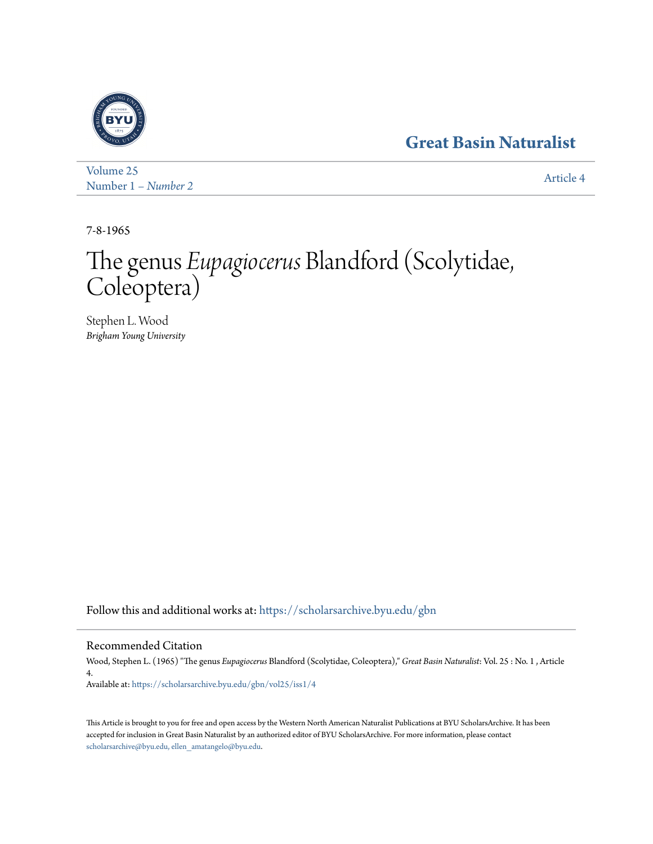## **[Great Basin Naturalist](https://scholarsarchive.byu.edu/gbn?utm_source=scholarsarchive.byu.edu%2Fgbn%2Fvol25%2Fiss1%2F4&utm_medium=PDF&utm_campaign=PDFCoverPages)**



[Volume 25](https://scholarsarchive.byu.edu/gbn/vol25?utm_source=scholarsarchive.byu.edu%2Fgbn%2Fvol25%2Fiss1%2F4&utm_medium=PDF&utm_campaign=PDFCoverPages) Number 1 *[– Number 2](https://scholarsarchive.byu.edu/gbn/vol25/iss1?utm_source=scholarsarchive.byu.edu%2Fgbn%2Fvol25%2Fiss1%2F4&utm_medium=PDF&utm_campaign=PDFCoverPages)* [Article 4](https://scholarsarchive.byu.edu/gbn/vol25/iss1/4?utm_source=scholarsarchive.byu.edu%2Fgbn%2Fvol25%2Fiss1%2F4&utm_medium=PDF&utm_campaign=PDFCoverPages)

7-8-1965

# The genus *Eupagiocerus* Blandford (Scolytidae, Coleoptera)

Stephen L. Wood *Brigham Young University*

Follow this and additional works at: [https://scholarsarchive.byu.edu/gbn](https://scholarsarchive.byu.edu/gbn?utm_source=scholarsarchive.byu.edu%2Fgbn%2Fvol25%2Fiss1%2F4&utm_medium=PDF&utm_campaign=PDFCoverPages)

### Recommended Citation

Wood, Stephen L. (1965) "The genus *Eupagiocerus* Blandford (Scolytidae, Coleoptera)," *Great Basin Naturalist*: Vol. 25 : No. 1 , Article 4. Available at: [https://scholarsarchive.byu.edu/gbn/vol25/iss1/4](https://scholarsarchive.byu.edu/gbn/vol25/iss1/4?utm_source=scholarsarchive.byu.edu%2Fgbn%2Fvol25%2Fiss1%2F4&utm_medium=PDF&utm_campaign=PDFCoverPages)

This Article is brought to you for free and open access by the Western North American Naturalist Publications at BYU ScholarsArchive. It has been accepted for inclusion in Great Basin Naturalist by an authorized editor of BYU ScholarsArchive. For more information, please contact [scholarsarchive@byu.edu, ellen\\_amatangelo@byu.edu.](mailto:scholarsarchive@byu.edu,%20ellen_amatangelo@byu.edu)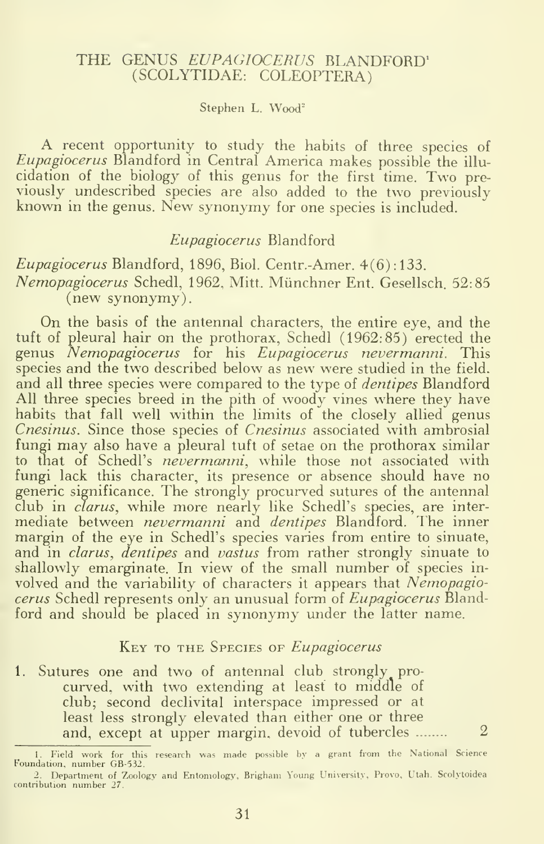#### THE GENUS EUPAGIOCERUS BLANDFORD' (SCOLYTIDAE: COLEOPTERA)

#### Stephen L. Wood"

A recent opportunity to study the habits of three species of Eupagiocerus Blandford in Central America makes possible the illu cidation of the biology of this genus for the first time. Two pre viously undescribed species are also added to the two previously known in the genus. New synonymy for one species is included.

#### Eupagiocerus Blandford

#### Eupagiocerus Blandford, 1896, Biol. Centr.-Amer. 4(6): 133. Nemopagiocerus Schedl, 1962, Mitt. Miinchner Ent. Gesellsch. 52:85 (new synonymy).

On the basis of the antennal characters, the entire eye, and the tuft of pleural hair on the prothorax, Schedl (1962:85) erected the genus Nemopagiocerus for his Eupagiocerus nevermanni. This species and the two described below as new were studied in the field, and all three species were compared to the type of *dentipes* Blandford All three species breed in the pith of woody vines where they have habits that fall well within the limits of the closely allied genus Cnesinus. Since those species of Cnesinus associated with ambrosial fungi may also have a pleural tuft of setae on the prothorax similar to that of Schedl's nevermanni, while those not associated with fungi lack this character, its presence or absence should have no generic significance. The strongly procurved sutures of the antennal club in clarus, while more nearly like Schedl's species, are inter mediate between *nevermanni* and *dentipes* Blandford. The inner margin of the eye in Schedl's species varies from entire to sinuate, and in *clarus, dentipes* and *vastus* from rather strongly sinuate to shallowly emarginate. In view of the small number of species in volved and the variability of characters it appears that Nemopagiocerus Schedl represents only an unusual form of *Eupagiocerus* Blandford and should be placed in synonymy under the latter name.

#### KEY TO THE SPECIES OF Eupagiocerus

1. Sutures one and two of antennal club strongly pro curved, with two extending at least to middle of club; second declivital interspace impressed or at least less strongly elevated than either one or three and, except at upper margin, devoid of tubercles  $\ldots$  2

<sup>1</sup> Field work for this research was made possible by <sup>a</sup> grant from the National Science Foundation, number GB-532.

<sup>2.</sup> Department of Zoology and Entomology, Brigham Young University, Provo, Utah. Scolytoidea contribution number 27.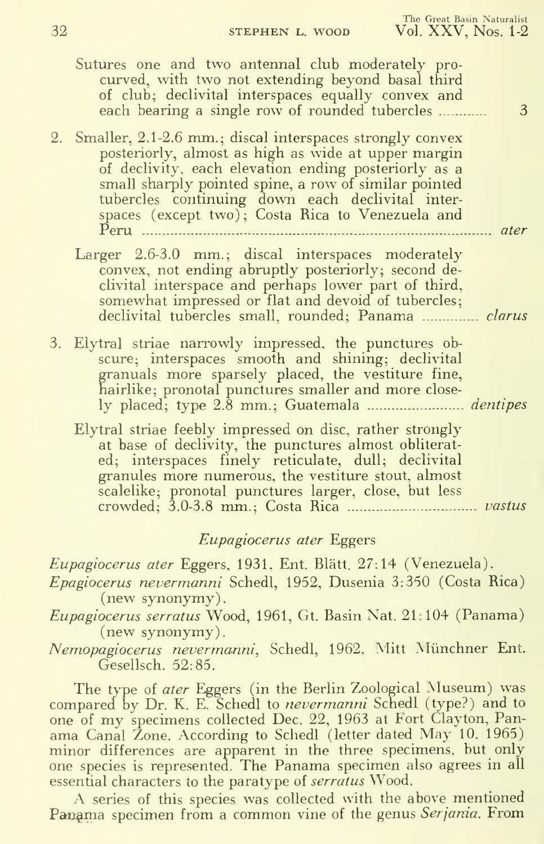| Sutures one and two antennal club moderately pro-<br>curved, with two not extending beyond basal third<br>of club; declivital interspaces equally convex and<br>each bearing a single row of rounded tubercles<br>3                                                                                                                                                     |
|-------------------------------------------------------------------------------------------------------------------------------------------------------------------------------------------------------------------------------------------------------------------------------------------------------------------------------------------------------------------------|
| 2. Smaller, 2.1-2.6 mm.; discal interspaces strongly convex<br>posteriorly, almost as high as wide at upper margin<br>of declivity, each elevation ending posteriorly as a<br>small sharply pointed spine, a row of similar pointed<br>tubercles continuing down each declivital inter-<br>spaces (except two); Costa Rica to Venezuela and<br>$P$ eru<br>$\ldots$ ater |
| Larger 2.6-3.0 mm.; discal interspaces moderately<br>convex, not ending abruptly posteriorly; second de-<br>clivital interspace and perhaps lower part of third,<br>somewhat impressed or flat and devoid of tubercles;<br>declivital tubercles small, rounded; Panama  clarus                                                                                          |
| 3. Elytral striae narrowly impressed, the punctures obseure; interspaces smooth and shining; declivital<br>granuals more sparsely placed, the vestiture fine,<br>hairlike; pronotal punctures smaller and more close-                                                                                                                                                   |
| Elytral striae feebly impressed on disc, rather strongly<br>at base of declivity, the punctures almost obliterat-<br>ed; interspaces finely reticulate, dull; declivital<br>granules more numerous, the vestiture stout, almost<br>scalelike; pronotal punctures larger, close, but less                                                                                |
|                                                                                                                                                                                                                                                                                                                                                                         |

#### Eupagiocerus ater Eggers

Eupagiocerus ater Eggers, 1931, Ent. Rlatt. 27:14 (Venezuela). Epagiocerus nevermanni Schedl, 1952, Dusenia 3:350 (Costa Rica)

Eupagiocerus serratus Wood, 1961, Gt. Basin Nat. 21:104 (Panama) (new synonymy).

Nemopagiocerus nevermanni, Schedl, 1962. Mitt Miinchner Ent. Gesellsch. 52:85.

The type of ater Eggers (in the Berlin Zoological Museum) was compared by Dr. K. E. Schedl to *nevermanni* Schedl (type?) and to one of my specimens collected Dec. 22, <sup>1963</sup> at Fort Clayton, Panama Canal Zone. According to Schedl (letter dated May 10. 1965) minor differences are apparent in the three specimens, but only one species is represented. The Panama specimen also agrees in all essential characters to the paratype of *serratus* Wood.

A series of this species was collected with the above mentioned Panama specimen from a common vine of the genus Serjania. From

<sup>(</sup>new synonymy)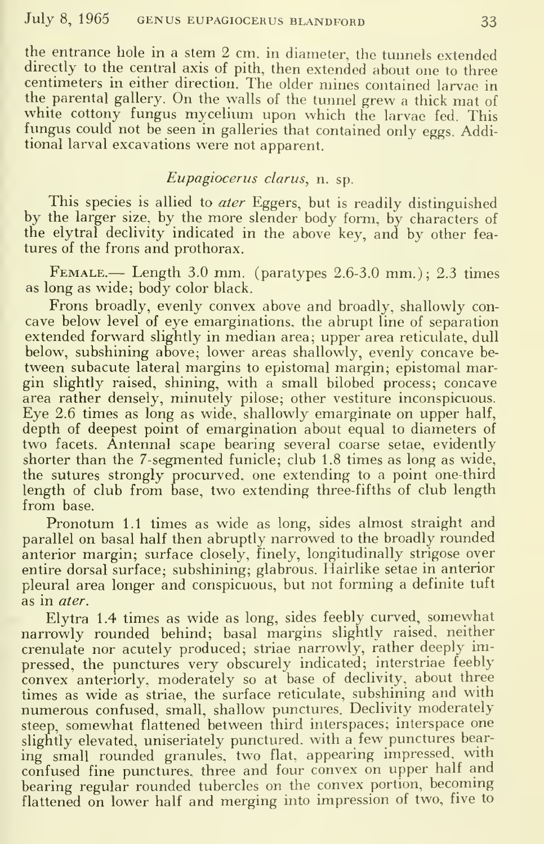the entrance hole in <sup>a</sup> stem 2 cm. in diameter, the tunnels extended directly to the central axis of pith, then extended about one to three centimeters in either direction. The older mines contained larvae in the parental gallery. On the walls of the tunnel grew a thick mat of white cottony fungus mycelium upon which the larvae fed. This fungus could not be seen in galleries that contained only eggs. Additional larval excavations were not apparent.

#### Eupagiocerus clarus, n. sp.

This species is allied to *ater* Eggers, but is readily distinguished by the larger size, by the more slender body form, by characters of the elytral declivity indicated in the above key, and by other fea tures of the frons and prothorax.

FEMALE.— Length 3.0 mm. (paratypes  $2.6-3.0$  mm.);  $2.3$  times as long as wide; body color black.

Frons broadly, evenly convex above and broadly, shallowly con cave below level of eye emarginations, the abrupt line of separation extended forward slightly in median area; upper area reticulate, dull below, subshining above; lower areas shallowly, evenly concave be tween subacute lateral margins to epistomal margin; epistomal margin slightly raised, shining, with a small bilobed process; concave area rather densely, minutely pilose; other vestiture inconspicuous. Eye 2.6 times as long as wide, shallowly emarginate on upper half, depth of deepest point of emargination about equal to diameters of two facets. Antennal scape bearing several coarse setae, evidently shorter than the 7-segmented funicle; club 1.8 times as long as wide, the sutures strongly procurved, one extending to a point one-third length of club from base, two extending three-fifths of club length from base.

Pronotum 1.1 times as wide as long, sides almost straight and parallel on basal half then abruptly narrowed to the broadly rounded anterior margin; surface closely, finely, longitudinally strigose over entire dorsal surface; subshining; glabrous. Hairlike setae in anterior pleural area longer and conspicuous, but not forming a definite tuft as in ater.

Elytra 1.4 times as wide as long, sides feebly curved, somewhat narrowly rounded behind; basal margins slightly raised, neither crenulate nor acutely produced; striae narrowly, rather deeply impressed, the punctures very obscurely indicated; interstriae feebly convex anteriorly, moderately so at base of declivity, about three times as wide as striae, the surface reticulate, subshining and with numerous confused, small, shallow punctures. Declivity moderately steep, somewhat flattened between third interspaces; interspace one slightly elevated, uniseriately punctured, with a few punctures bearing small rounded granules, two flat, appearing impressed, with confused fine punctures, three and four convex on upper half and bearing regular rounded tubercles on the convex portion, becoming flattened on lower half and merging into impression of two, five to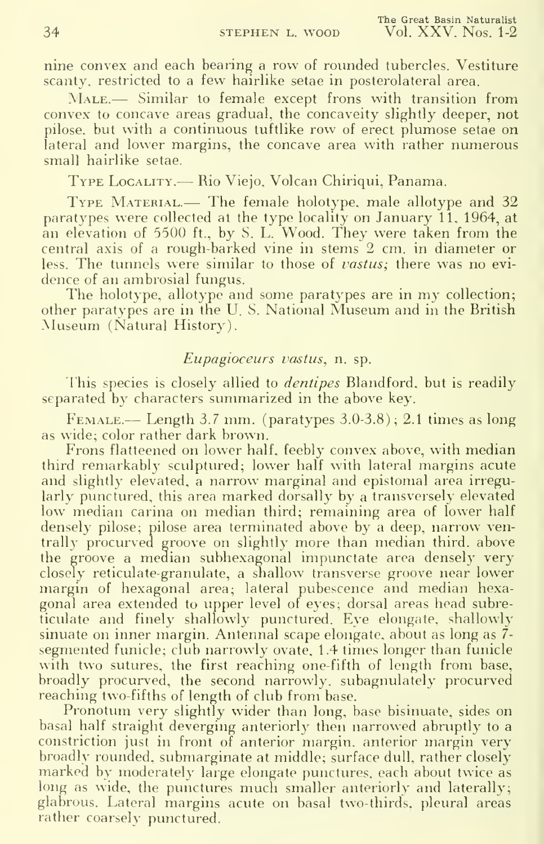nine convex and each bearing a row of rounded tubercles. Vestiture scanty, restricted to a few hairlike setae in posterolateral area.

MALE.— Similar to female except frons with transition from convex to concave areas gradual, the concaveity slightly deeper, not pilose, but with a continuous tuftlike row of erect plumose setae on lateral and lower margins, the concave area with rather numerous small hairlike setae.

Type Locality.— Rio Viejo, Volcan Chiriqui, Panama.

TYPE MATERIAL.— The female holotype, male allotype and 32 paratypes were collected at the type locality on January 11, 1964, at an elevation of 5500 ft., by S. L. Wood. They were taken from the central axis of a rough-barked vine in stems 2 cm. in diameter or less. The tunnels were similar to those of *vastus*; there was no evidence of an ambrosial fungus.

The holotype, allotype and some paratypes are in my collection; other paratypes are in the U. S. National Museum and in the British Museum (Natural History).

#### Eupagioceurs vastus, n. sp.

This species is closely allied to *dentipes* Blandford, but is readily separated by characters summarized in the above key.

Female.— Length 3.7 mm. (paratypes  $3.0-3.8$ ); 2.1 times as long as wide; color rather dark brown.

Frons flatteened on lower half, feebly convex above, with median third remarkably sculptured; lower half with lateral margins acute and slightly elevated, a narrow marginal and epistomal area irregularly punctured, this area marked dorsally by a transversely elevated low median carina on median third; remaining area of lower half densely pilose; pilose area terminated above by a deep, narrow ventrally procurved groove on slightly more than median third, above the groove a median subhexagonal impunctate area densely very closely reticulate-granulate, a shallow transverse groove near lower margin of hexagonal area; lateral pubescence and median hexagonal area extended to upper level of eyes; dorsal areas head subreticulate and finely shallowly punctured. Eye elongate, shallowly sinuate on inner margin. Antennal scape elongate, about as long as 7 segmented funicle; club narrowly ovate, 1.4 times longer than funicle with two sutures, the first reaching one-fifth of length from base, broadly procurved, the second narrowly, subagnulately procurved reaching two-fifths of length of club from base.

Pronotum very slightly wider than long, base bisinuate, sides on basal half straight deverging anteriorly then narrowed abruptly to a constriction just in front of anterior margin, anterior margin very broadly rounded, submarginate at middle; surface dull, rather closely marked by moderately large elongate punctures, each about twice as long as wide, the punctures much smaller anteriorly and laterally; glabrous. Lateral margins acute on basal two-thirds, pleural areas rather coarsely punctured.